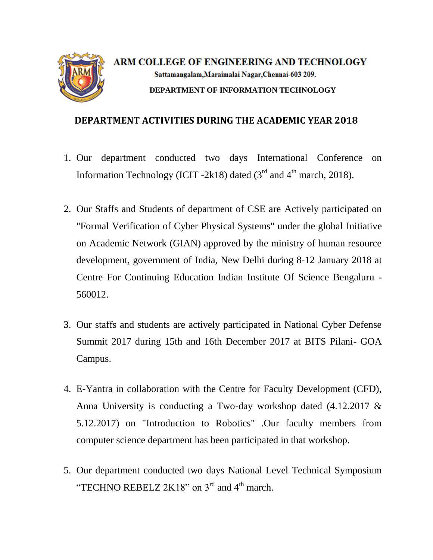

ARM COLLEGE OF ENGINEERING AND TECHNOLOGY Sattamangalam, Maraimalai Nagar, Chennai-603 209. **DEPARTMENT OF INFORMATION TECHNOLOGY**

## **DEPARTMENT ACTIVITIES DURING THE ACADEMIC YEAR 2018**

- 1. Our department conducted two days International Conference on Information Technology (ICIT -2k18) dated  $(3<sup>rd</sup>$  and  $4<sup>th</sup>$  march, 2018).
- 2. Our Staffs and Students of department of CSE are Actively participated on "Formal Verification of Cyber Physical Systems" under the global Initiative on Academic Network (GIAN) approved by the ministry of human resource development, government of India, New Delhi during 8-12 January 2018 at Centre For Continuing Education Indian Institute Of Science Bengaluru - 560012.
- 3. Our staffs and students are actively participated in National Cyber Defense Summit 2017 during 15th and 16th December 2017 at BITS Pilani- GOA Campus.
- 4. E-Yantra in collaboration with the Centre for Faculty Development (CFD), Anna University is conducting a Two-day workshop dated (4.12.2017 & 5.12.2017) on "Introduction to Robotics" .Our faculty members from computer science department has been participated in that workshop.
- 5. Our department conducted two days National Level Technical Symposium "TECHNO REBELZ 2K18" on  $3<sup>rd</sup>$  and  $4<sup>th</sup>$  march.